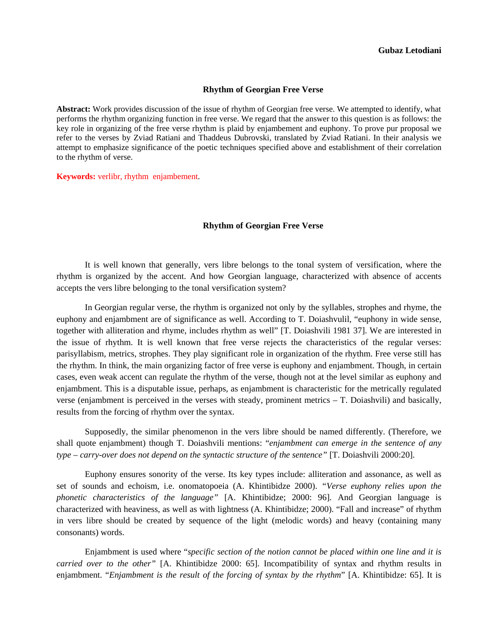## **Rhythm of Georgian Free Verse**

**Abstract:** Work provides discussion of the issue of rhythm of Georgian free verse. We attempted to identify, what performs the rhythm organizing function in free verse. We regard that the answer to this question is as follows: the key role in organizing of the free verse rhythm is plaid by enjambement and euphony. To prove pur proposal we refer to the verses by Zviad Ratiani and Thaddeus Dubrovski, translated by Zviad Ratiani. In their analysis we attempt to emphasize significance of the poetic techniques specified above and establishment of their correlation to the rhythm of verse.

**Keywords:** verlibr, rhythm enjambement.

## **Rhythm of Georgian Free Verse**

It is well known that generally, vers libre belongs to the tonal system of versification, where the rhythm is organized by the accent. And how Georgian language, characterized with absence of accents accepts the vers libre belonging to the tonal versification system?

In Georgian regular verse, the rhythm is organized not only by the syllables, strophes and rhyme, the euphony and enjambment are of significance as well. According to T. Doiashvulil, "euphony in wide sense, together with alliteration and rhyme, includes rhythm as well" [T. Doiashvili 1981 37]. We are interested in the issue of rhythm. It is well known that free verse rejects the characteristics of the regular verses: parisyllabism, metrics, strophes. They play significant role in organization of the rhythm. Free verse still has the rhythm. In think, the main organizing factor of free verse is euphony and enjambment. Though, in certain cases, even weak accent can regulate the rhythm of the verse, though not at the level similar as euphony and enjambment. This is a disputable issue, perhaps, as enjambment is characteristic for the metrically regulated verse (enjambment is perceived in the verses with steady, prominent metrics – T. Doiashvili) and basically, results from the forcing of rhythm over the syntax.

Supposedly, the similar phenomenon in the vers libre should be named differently. (Therefore, we shall quote enjambment) though T. Doiashvili mentions: "*enjambment can emerge in the sentence of any type – carry-over does not depend on the syntactic structure of the sentence"* [T. Doiashvili 2000:20].

Euphony ensures sonority of the verse. Its key types include: alliteration and assonance, as well as set of sounds and echoism, i.e. onomatopoeia (A. Khintibidze 2000). *"Verse euphony relies upon the phonetic characteristics of the language"* [A. Khintibidze; 2000: 96]. And Georgian language is characterized with heaviness, as well as with lightness (A. Khintibidze; 2000). "Fall and increase" of rhythm in vers libre should be created by sequence of the light (melodic words) and heavy (containing many consonants) words.

Enjambment is used where "*specific section of the notion cannot be placed within one line and it is carried over to the other"* [A. Khintibidze 2000: 65]. Incompatibility of syntax and rhythm results in enjambment. "*Enjambment is the result of the forcing of syntax by the rhythm*" [A. Khintibidze: 65]. It is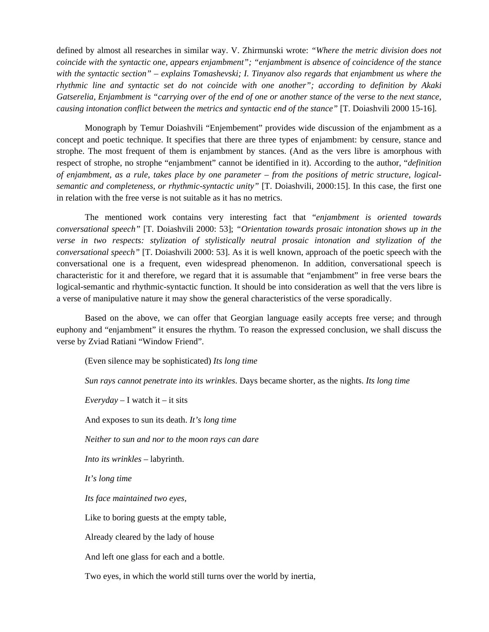defined by almost all researches in similar way. V. Zhirmunski wrote: *"Where the metric division does not coincide with the syntactic one, appears enjambment"; "enjambment is absence of coincidence of the stance with the syntactic section" – explains Tomashevski; I. Tinyanov also regards that enjambment us where the rhythmic line and syntactic set do not coincide with one another"; according to definition by Akaki Gatserelia, Enjambment is "carrying over of the end of one or another stance of the verse to the next stance, causing intonation conflict between the metrics and syntactic end of the stance"* [T. Doiashvili 2000 15-16].

Monograph by Temur Doiashvili "Enjembement" provides wide discussion of the enjambment as a concept and poetic technique. It specifies that there are three types of enjambment: by censure, stance and strophe. The most frequent of them is enjambment by stances. (And as the vers libre is amorphous with respect of strophe, no strophe "enjambment" cannot be identified in it). According to the author, "*definition of enjambment, as a rule, takes place by one parameter – from the positions of metric structure, logicalsemantic and completeness, or rhythmic-syntactic unity"* [T. Doiashvili, 2000:15]. In this case, the first one in relation with the free verse is not suitable as it has no metrics.

The mentioned work contains very interesting fact that "*enjambment is oriented towards conversational speech"* [T. Doiashvili 2000: 53]; *"Orientation towards prosaic intonation shows up in the verse in two respects: stylization of stylistically neutral prosaic intonation and stylization of the conversational speech"* [T. Doiashvili 2000: 53]. As it is well known, approach of the poetic speech with the conversational one is a frequent, even widespread phenomenon. In addition, conversational speech is characteristic for it and therefore, we regard that it is assumable that "enjambment" in free verse bears the logical-semantic and rhythmic-syntactic function. It should be into consideration as well that the vers libre is a verse of manipulative nature it may show the general characteristics of the verse sporadically.

Based on the above, we can offer that Georgian language easily accepts free verse; and through euphony and "enjambment" it ensures the rhythm. To reason the expressed conclusion, we shall discuss the verse by Zviad Ratiani "Window Friend".

(Even silence may be sophisticated) *Its long time* 

*Sun rays cannot penetrate into its wrinkles*. Days became shorter, as the nights. *Its long time* 

*Everyday* – I watch it – it sits

And exposes to sun its death. *It's long time* 

*Neither to sun and nor to the moon rays can dare* 

*Into its wrinkles –* labyrinth.

*It's long time* 

*Its face maintained two eyes,* 

Like to boring guests at the empty table,

Already cleared by the lady of house

And left one glass for each and a bottle.

Two eyes, in which the world still turns over the world by inertia,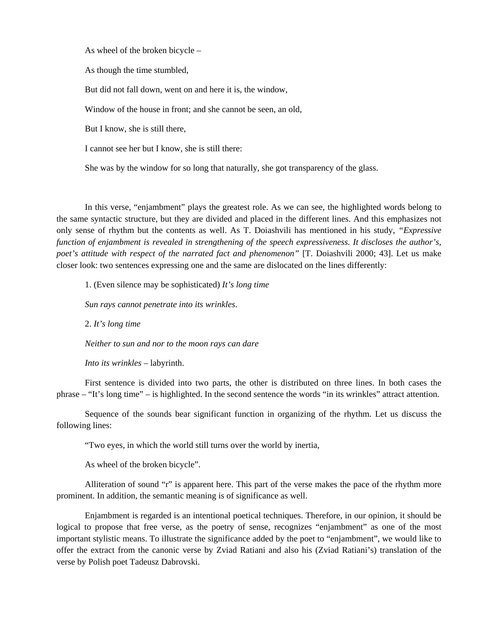As wheel of the broken bicycle –

As though the time stumbled,

But did not fall down, went on and here it is, the window,

Window of the house in front; and she cannot be seen, an old,

But I know, she is still there,

I cannot see her but I know, she is still there:

She was by the window for so long that naturally, she got transparency of the glass.

In this verse, "enjambment" plays the greatest role. As we can see, the highlighted words belong to the same syntactic structure, but they are divided and placed in the different lines. And this emphasizes not only sense of rhythm but the contents as well. As T. Doiashvili has mentioned in his study, *"Expressive function of enjambment is revealed in strengthening of the speech expressiveness. It discloses the author's, poet's attitude with respect of the narrated fact and phenomenon"* [T. Doiashvili 2000; 43]. Let us make closer look: two sentences expressing one and the same are dislocated on the lines differently:

1. (Even silence may be sophisticated) *It's long time* 

*Sun rays cannot penetrate into its wrinkles*.

2. *It's long time* 

*Neither to sun and nor to the moon rays can dare* 

*Into its wrinkles –* labyrinth.

First sentence is divided into two parts, the other is distributed on three lines. In both cases the phrase – "It's long time" – is highlighted. In the second sentence the words "in its wrinkles" attract attention.

Sequence of the sounds bear significant function in organizing of the rhythm. Let us discuss the following lines:

"Two eyes, in which the world still turns over the world by inertia,

As wheel of the broken bicycle".

Alliteration of sound "r" is apparent here. This part of the verse makes the pace of the rhythm more prominent. In addition, the semantic meaning is of significance as well.

Enjambment is regarded is an intentional poetical techniques. Therefore, in our opinion, it should be logical to propose that free verse, as the poetry of sense, recognizes "enjambment" as one of the most important stylistic means. To illustrate the significance added by the poet to "enjambment", we would like to offer the extract from the canonic verse by Zviad Ratiani and also his (Zviad Ratiani's) translation of the verse by Polish poet Tadeusz Dabrovski.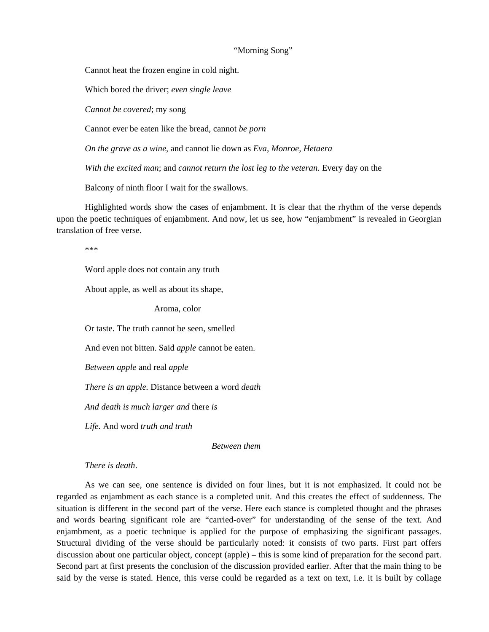## "Morning Song"

Cannot heat the frozen engine in cold night.

Which bored the driver; *even single leave* 

*Cannot be covered*; my song

Cannot ever be eaten like the bread, cannot *be porn* 

*On the grave as a wine*, and cannot lie down as *Eva, Monroe, Hetaera* 

*With the excited man*; and *cannot return the lost leg to the veteran.* Every day on the

Balcony of ninth floor I wait for the swallows.

Highlighted words show the cases of enjambment. It is clear that the rhythm of the verse depends upon the poetic techniques of enjambment. And now, let us see, how "enjambment" is revealed in Georgian translation of free verse.

\*\*\*

Word apple does not contain any truth

About apple, as well as about its shape,

Aroma, color

Or taste. The truth cannot be seen, smelled

And even not bitten. Said *apple* cannot be eaten.

*Between apple* and real *apple* 

*There is an apple.* Distance between a word *death* 

*And death is much larger and* there *is* 

*Life.* And word *truth and truth* 

 *Between them* 

*There is death*.

As we can see, one sentence is divided on four lines, but it is not emphasized. It could not be regarded as enjambment as each stance is a completed unit. And this creates the effect of suddenness. The situation is different in the second part of the verse. Here each stance is completed thought and the phrases and words bearing significant role are "carried-over" for understanding of the sense of the text. And enjambment, as a poetic technique is applied for the purpose of emphasizing the significant passages. Structural dividing of the verse should be particularly noted: it consists of two parts. First part offers discussion about one particular object, concept (apple) – this is some kind of preparation for the second part. Second part at first presents the conclusion of the discussion provided earlier. After that the main thing to be said by the verse is stated. Hence, this verse could be regarded as a text on text, i.e. it is built by collage